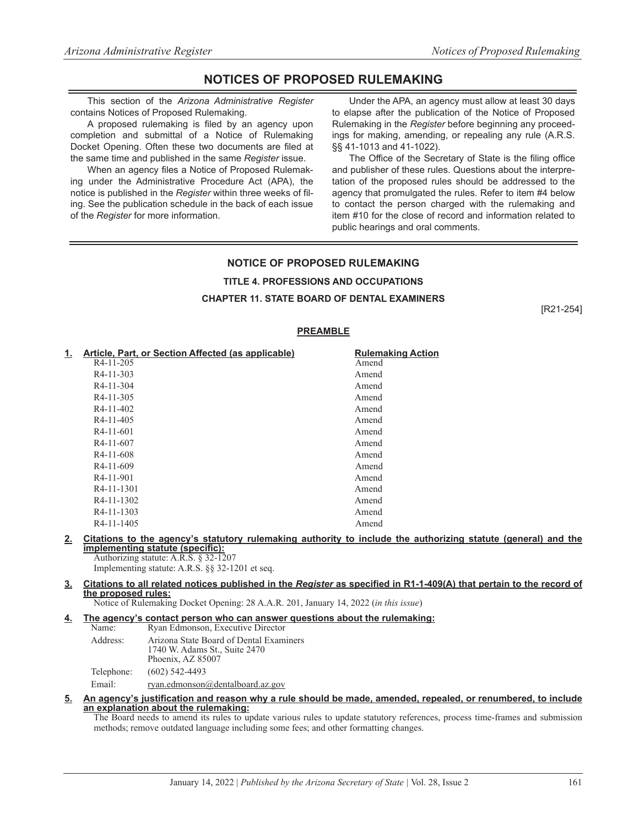# **NOTICES OF PROPOSED RULEMAKING**

This section of the *Arizona Administrative Register* contains Notices of Proposed Rulemaking.

A proposed rulemaking is filed by an agency upon completion and submittal of a Notice of Rulemaking Docket Opening. Often these two documents are filed at the same time and published in the same *Register* issue.

When an agency files a Notice of Proposed Rulemaking under the Administrative Procedure Act (APA), the notice is published in the *Register* within three weeks of filing. See the publication schedule in the back of each issue of the *Register* for more information.

Under the APA, an agency must allow at least 30 days to elapse after the publication of the Notice of Proposed Rulemaking in the *Register* before beginning any proceedings for making, amending, or repealing any rule (A.R.S. §§ 41-1013 and 41-1022).

The Office of the Secretary of State is the filing office and publisher of these rules. Questions about the interpretation of the proposed rules should be addressed to the agency that promulgated the rules. Refer to item #4 below to contact the person charged with the rulemaking and item #10 for the close of record and information related to public hearings and oral comments.

# **NOTICE OF PROPOSED RULEMAKING TITLE 4. PROFESSIONS AND OCCUPATIONS CHAPTER 11. STATE BOARD OF DENTAL EXAMINERS**

[R21-254]

# **PREAMBLE**

| <u>1.</u> | Article, Part, or Section Affected (as applicable) | <b>Rulemaking Action</b> |
|-----------|----------------------------------------------------|--------------------------|
|           | R <sub>4</sub> -11-205                             | Amend                    |
|           | R <sub>4</sub> -11-303                             | Amend                    |
|           | $R4-11-304$                                        | Amend                    |
|           | $R4-11-305$                                        | Amend                    |
|           | R4-11-402                                          | Amend                    |
|           | R4-11-405                                          | Amend                    |
|           | $R4-11-601$                                        | Amend                    |
|           | R <sub>4</sub> -11-607                             | Amend                    |
|           | R <sub>4</sub> -11-608                             | Amend                    |
|           | $R4-11-609$                                        | Amend                    |
|           | R <sub>4</sub> -11-901                             | Amend                    |
|           | R4-11-1301                                         | Amend                    |
|           | R4-11-1302                                         | Amend                    |
|           | R <sub>4</sub> -11-1303                            | Amend                    |
|           | R <sub>4</sub> -11-1405                            | Amend                    |

# **2. Citations to the agency's statutory rulemaking authority to include the authorizing statute (general) and the implementing statute (specific):**

Authorizing statute: A.R.S. § 32-1207 Implementing statute: A.R.S. §§ 32-1201 et seq.

#### **3. Citations to all related notices published in the** *Register* **as specified in R1-1-409(A) that pertain to the record of the proposed rules:**

Notice of Rulemaking Docket Opening: 28 A.A.R. 201, January 14, 2022 (*in this issue*)

#### **4. The agency's contact person who can answer questions about the rulemaking:** Name: Ryan Edmonson, Executive Director Address: Arizona State Board of Dental Examiners 1740 W. Adams St., Suite 2470 Phoenix, AZ 85007

Telephone: (602) 542-4493

Email: ryan.edmonson@dentalboard.az.gov

#### **5. An agency's justification and reason why a rule should be made, amended, repealed, or renumbered, to include an explanation about the rulemaking:**

The Board needs to amend its rules to update various rules to update statutory references, process time-frames and submission methods; remove outdated language including some fees; and other formatting changes.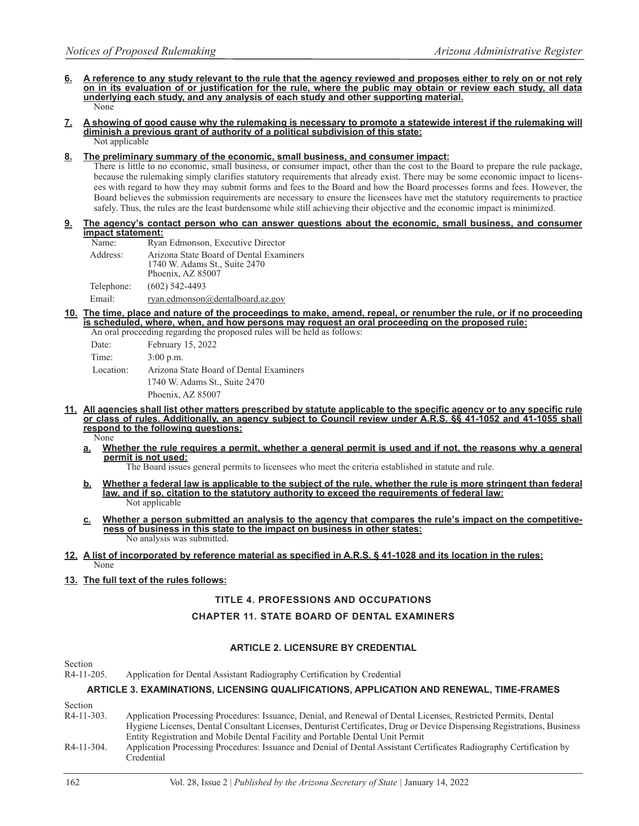- **6. A reference to any study relevant to the rule that the agency reviewed and proposes either to rely on or not rely on in its evaluation of or justification for the rule, where the public may obtain or review each study, all data underlying each study, and any analysis of each study and other supporting material.** None
- **7. A showing of good cause why the rulemaking is necessary to promote a statewide interest if the rulemaking will diminish a previous grant of authority of a political subdivision of this state:** Not applicable

#### **8. The preliminary summary of the economic, small business, and consumer impact:**

There is little to no economic, small business, or consumer impact, other than the cost to the Board to prepare the rule package, because the rulemaking simply clarifies statutory requirements that already exist. There may be some economic impact to licensees with regard to how they may submit forms and fees to the Board and how the Board processes forms and fees. However, the Board believes the submission requirements are necessary to ensure the licensees have met the statutory requirements to practice safely. Thus, the rules are the least burdensome while still achieving their objective and the economic impact is minimized.

**9. The agency's contact person who can answer questions about the economic, small business, and consumer impact statement:**

| Name:      | Ryan Edmonson, Executive Director                                                             |
|------------|-----------------------------------------------------------------------------------------------|
| Address:   | Arizona State Board of Dental Examiners<br>1740 W. Adams St., Suite 2470<br>Phoenix, AZ 85007 |
| Telephone: | $(602)$ 542-4493                                                                              |
| Email:     | ryan.edmonson@dentalboard.az.gov                                                              |

**10. The time, place and nature of the proceedings to make, amend, repeal, or renumber the rule, or if no proceeding is scheduled, where, when, and how persons may request an oral proceeding on the proposed rule:** held as follows:

| An oral proceeding regarding the proposed rules will be f |                                         |  |  |  |
|-----------------------------------------------------------|-----------------------------------------|--|--|--|
| Date:                                                     | February 15, 2022                       |  |  |  |
| Time:                                                     | $3:00$ p.m.                             |  |  |  |
| Location:                                                 | Arizona State Board of Dental Examiners |  |  |  |
|                                                           | 1740 W. Adams St., Suite 2470           |  |  |  |
|                                                           | Phoenix, AZ 85007                       |  |  |  |
|                                                           |                                         |  |  |  |

**11. All agencies shall list other matters prescribed by statute applicable to the specific agency or to any specific rule or class of rules. Additionally, an agency subject to Council review under A.R.S. §§ 41-1052 and 41-1055 shall respond to the following questions:**

None

**a. Whether the rule requires a permit, whether a general permit is used and if not, the reasons why a general permit is not used:**

The Board issues general permits to licensees who meet the criteria established in statute and rule.

- **b. Whether a federal law is applicable to the subject of the rule, whether the rule is more stringent than federal law, and if so, citation to the statutory authority to exceed the requirements of federal law:** Not applicable
- **c. Whether a person submitted an analysis to the agency that compares the rule's impact on the competitiveness of business in this state to the impact on business in other states:** No analysis was submitted.

#### **12. A list of incorporated by reference material as specified in A.R.S. § 41-1028 and its location in the rules:** None

# **13. The full text of the rules follows:**

# **TITLE 4. PROFESSIONS AND OCCUPATIONS**

# **CHAPTER 11. STATE BOARD OF DENTAL EXAMINERS**

# **ARTICLE 2. LICENSURE BY CREDENTIAL**

Section

R4-11-205. Application for Dental Assistant Radiography Certification by Credential

# **ARTICLE 3. EXAMINATIONS, LICENSING QUALIFICATIONS, APPLICATION AND RENEWAL, TIME-FRAMES**

Section<br> $R4-11-303$ . Application Processing Procedures: Issuance, Denial, and Renewal of Dental Licenses, Restricted Permits, Dental Hygiene Licenses, Dental Consultant Licenses, Denturist Certificates, Drug or Device Dispensing Registrations, Business Entity Registration and Mobile Dental Facility and Portable Dental Unit Permit R4-11-304. Application Processing Procedures: Issuance and Denial of Dental Assistant Certificates Radiography Certification by Credential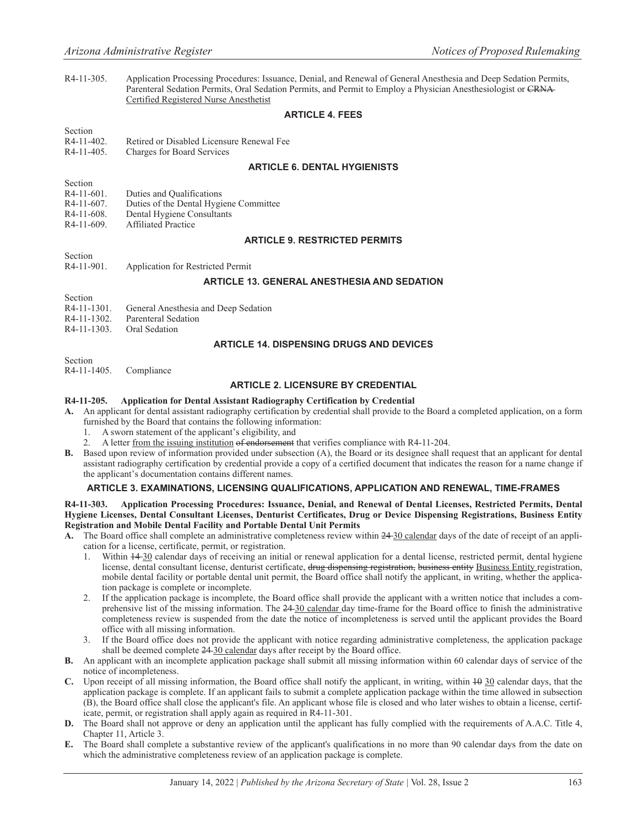R4-11-305. Application Processing Procedures: Issuance, Denial, and Renewal of General Anesthesia and Deep Sedation Permits, Parenteral Sedation Permits, Oral Sedation Permits, and Permit to Employ a Physician Anesthesiologist or CRNA Certified Registered Nurse Anesthetist

# **ARTICLE 4. FEES**

#### Section

R4-11-402. Retired or Disabled Licensure Renewal Fee

R4-11-405. Charges for Board Services

# **ARTICLE 6. DENTAL HYGIENISTS**

- Section
- R4-11-601. Duties and Qualifications
- R4-11-607. Duties of the Dental Hygiene Committee
- R4-11-608. Dental Hygiene Consultants<br>R4-11-609. Affiliated Practice
- Affiliated Practice

# **ARTICLE 9. RESTRICTED PERMITS**

Section

Section

R4-11-901. Application for Restricted Permit

# **ARTICLE 13. GENERAL ANESTHESIA AND SEDATION**

| <b>SUCCION</b> |                                      |  |
|----------------|--------------------------------------|--|
| R4-11-1301.    | General Anesthesia and Deep Sedation |  |

- R4-11-1302. Parenteral Sedation
- R4-11-1303. Oral Sedation

# **ARTICLE 14. DISPENSING DRUGS AND DEVICES**

Section

R4-11-1405. Compliance

# **ARTICLE 2. LICENSURE BY CREDENTIAL**

#### **R4-11-205. Application for Dental Assistant Radiography Certification by Credential**

- **A.** An applicant for dental assistant radiography certification by credential shall provide to the Board a completed application, on a form furnished by the Board that contains the following information:
	- 1. A sworn statement of the applicant's eligibility, and
	- 2. A letter from the issuing institution of endorsement that verifies compliance with R4-11-204.
- **B.** Based upon review of information provided under subsection (A), the Board or its designee shall request that an applicant for dental assistant radiography certification by credential provide a copy of a certified document that indicates the reason for a name change if the applicant's documentation contains different names.

# **ARTICLE 3. EXAMINATIONS, LICENSING QUALIFICATIONS, APPLICATION AND RENEWAL, TIME-FRAMES**

**R4-11-303. Application Processing Procedures: Issuance, Denial, and Renewal of Dental Licenses, Restricted Permits, Dental Hygiene Licenses, Dental Consultant Licenses, Denturist Certificates, Drug or Device Dispensing Registrations, Business Entity Registration and Mobile Dental Facility and Portable Dental Unit Permits**

- **A.** The Board office shall complete an administrative completeness review within 24 30 calendar days of the date of receipt of an application for a license, certificate, permit, or registration.
	- 1. Within  $14-30$  calendar days of receiving an initial or renewal application for a dental license, restricted permit, dental hygiene license, dental consultant license, denturist certificate, drug dispensing registration, business entity Business Entity registration, mobile dental facility or portable dental unit permit, the Board office shall notify the applicant, in writing, whether the application package is complete or incomplete.
	- 2. If the application package is incomplete, the Board office shall provide the applicant with a written notice that includes a comprehensive list of the missing information. The 24-30 calendar day time-frame for the Board office to finish the administrative completeness review is suspended from the date the notice of incompleteness is served until the applicant provides the Board office with all missing information.
	- 3. If the Board office does not provide the applicant with notice regarding administrative completeness, the application package shall be deemed complete 24-30 calendar days after receipt by the Board office.
- **B.** An applicant with an incomplete application package shall submit all missing information within 60 calendar days of service of the notice of incompleteness.
- **C.** Upon receipt of all missing information, the Board office shall notify the applicant, in writing, within 10 30 calendar days, that the application package is complete. If an applicant fails to submit a complete application package within the time allowed in subsection (B), the Board office shall close the applicant's file. An applicant whose file is closed and who later wishes to obtain a license, certificate, permit, or registration shall apply again as required in R4-11-301.
- **D.** The Board shall not approve or deny an application until the applicant has fully complied with the requirements of A.A.C. Title 4, Chapter 11, Article 3.
- **E.** The Board shall complete a substantive review of the applicant's qualifications in no more than 90 calendar days from the date on which the administrative completeness review of an application package is complete.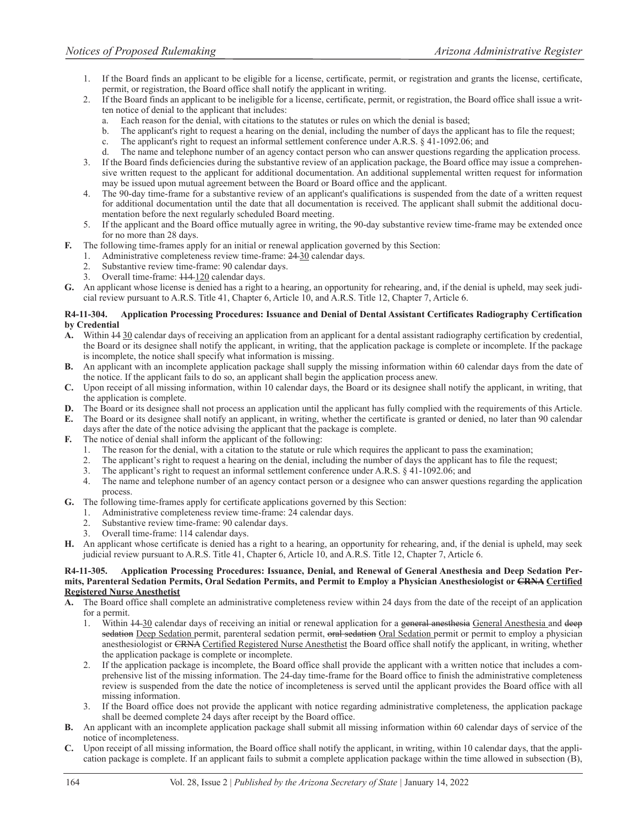- 1. If the Board finds an applicant to be eligible for a license, certificate, permit, or registration and grants the license, certificate, permit, or registration, the Board office shall notify the applicant in writing.
- 2. If the Board finds an applicant to be ineligible for a license, certificate, permit, or registration, the Board office shall issue a written notice of denial to the applicant that includes:
	- Each reason for the denial, with citations to the statutes or rules on which the denial is based;
	- b. The applicant's right to request a hearing on the denial, including the number of days the applicant has to file the request;
	- c. The applicant's right to request an informal settlement conference under A.R.S. § 41-1092.06; and
	- d. The name and telephone number of an agency contact person who can answer questions regarding the application process.
- 3. If the Board finds deficiencies during the substantive review of an application package, the Board office may issue a comprehensive written request to the applicant for additional documentation. An additional supplemental written request for information may be issued upon mutual agreement between the Board or Board office and the applicant.
- 4. The 90-day time-frame for a substantive review of an applicant's qualifications is suspended from the date of a written request for additional documentation until the date that all documentation is received. The applicant shall submit the additional documentation before the next regularly scheduled Board meeting.
- 5. If the applicant and the Board office mutually agree in writing, the 90-day substantive review time-frame may be extended once for no more than 28 days.
- **F.** The following time-frames apply for an initial or renewal application governed by this Section:
	- 1. Administrative completeness review time-frame: 24 30 calendar days.
	- 2. Substantive review time-frame: 90 calendar days.
	- 3. Overall time-frame:  $114 120$  calendar days.
- **G.** An applicant whose license is denied has a right to a hearing, an opportunity for rehearing, and, if the denial is upheld, may seek judicial review pursuant to A.R.S. Title 41, Chapter 6, Article 10, and A.R.S. Title 12, Chapter 7, Article 6.

# **R4-11-304. Application Processing Procedures: Issuance and Denial of Dental Assistant Certificates Radiography Certification by Credential**

- **A.** Within 14 30 calendar days of receiving an application from an applicant for a dental assistant radiography certification by credential, the Board or its designee shall notify the applicant, in writing, that the application package is complete or incomplete. If the package is incomplete, the notice shall specify what information is missing.
- **B.** An applicant with an incomplete application package shall supply the missing information within 60 calendar days from the date of the notice. If the applicant fails to do so, an applicant shall begin the application process anew.
- **C.** Upon receipt of all missing information, within 10 calendar days, the Board or its designee shall notify the applicant, in writing, that the application is complete.
- **D.** The Board or its designee shall not process an application until the applicant has fully complied with the requirements of this Article.
- **E.** The Board or its designee shall notify an applicant, in writing, whether the certificate is granted or denied, no later than 90 calendar days after the date of the notice advising the applicant that the package is complete.
- **F.** The notice of denial shall inform the applicant of the following:
	- 1. The reason for the denial, with a citation to the statute or rule which requires the applicant to pass the examination;
	- 2. The applicant's right to request a hearing on the denial, including the number of days the applicant has to file the request;
	- 3. The applicant's right to request an informal settlement conference under A.R.S. § 41-1092.06; and
	- 4. The name and telephone number of an agency contact person or a designee who can answer questions regarding the application process.
- **G.** The following time-frames apply for certificate applications governed by this Section:
	- 1. Administrative completeness review time-frame: 24 calendar days.
	- Substantive review time-frame: 90 calendar days.
	- 3. Overall time-frame: 114 calendar days.
- **H.** An applicant whose certificate is denied has a right to a hearing, an opportunity for rehearing, and, if the denial is upheld, may seek judicial review pursuant to A.R.S. Title 41, Chapter 6, Article 10, and A.R.S. Title 12, Chapter 7, Article 6.

#### **R4-11-305. Application Processing Procedures: Issuance, Denial, and Renewal of General Anesthesia and Deep Sedation Permits, Parenteral Sedation Permits, Oral Sedation Permits, and Permit to Employ a Physician Anesthesiologist or CRNA Certified Registered Nurse Anesthetist**

- **A.** The Board office shall complete an administrative completeness review within 24 days from the date of the receipt of an application for a permit.
	- 1. Within  $14-30$  calendar days of receiving an initial or renewal application for a general anesthesia General Anesthesia and deep sedation Deep Sedation permit, parenteral sedation permit, oral sedation Oral Sedation permit or permit to employ a physician anesthesiologist or CRNA Certified Registered Nurse Anesthetist the Board office shall notify the applicant, in writing, whether the application package is complete or incomplete.
	- 2. If the application package is incomplete, the Board office shall provide the applicant with a written notice that includes a comprehensive list of the missing information. The 24-day time-frame for the Board office to finish the administrative completeness review is suspended from the date the notice of incompleteness is served until the applicant provides the Board office with all missing information.
	- 3. If the Board office does not provide the applicant with notice regarding administrative completeness, the application package shall be deemed complete 24 days after receipt by the Board office.
- **B.** An applicant with an incomplete application package shall submit all missing information within 60 calendar days of service of the notice of incompleteness.
- **C.** Upon receipt of all missing information, the Board office shall notify the applicant, in writing, within 10 calendar days, that the application package is complete. If an applicant fails to submit a complete application package within the time allowed in subsection (B),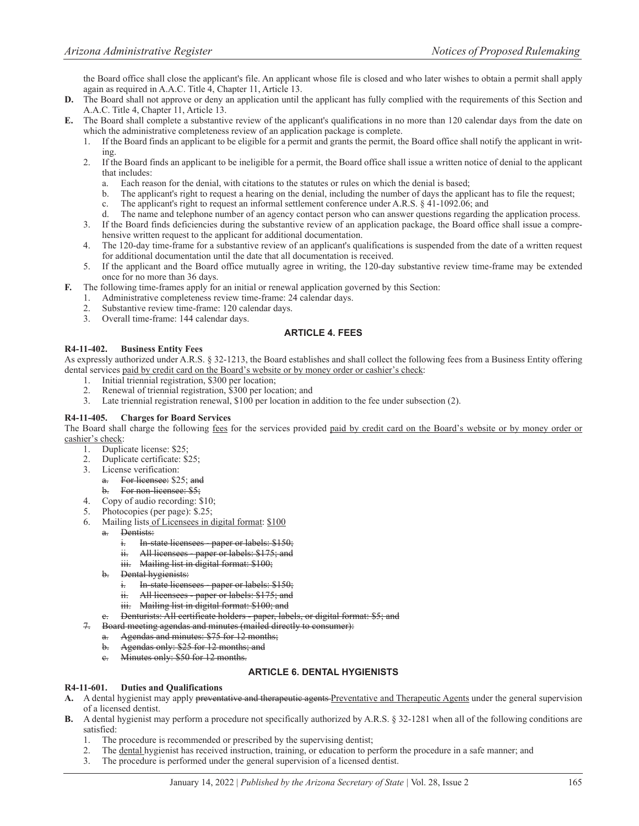the Board office shall close the applicant's file. An applicant whose file is closed and who later wishes to obtain a permit shall apply again as required in A.A.C. Title 4, Chapter 11, Article 13.

- **D.** The Board shall not approve or deny an application until the applicant has fully complied with the requirements of this Section and A.A.C. Title 4, Chapter 11, Article 13.
- **E.** The Board shall complete a substantive review of the applicant's qualifications in no more than 120 calendar days from the date on which the administrative completeness review of an application package is complete.
	- 1. If the Board finds an applicant to be eligible for a permit and grants the permit, the Board office shall notify the applicant in writing.
	- 2. If the Board finds an applicant to be ineligible for a permit, the Board office shall issue a written notice of denial to the applicant that includes:
		- a. Each reason for the denial, with citations to the statutes or rules on which the denial is based;
		- b. The applicant's right to request a hearing on the denial, including the number of days the applicant has to file the request;
		- c. The applicant's right to request an informal settlement conference under A.R.S. § 41-1092.06; and
		- d. The name and telephone number of an agency contact person who can answer questions regarding the application process.
	- 3. If the Board finds deficiencies during the substantive review of an application package, the Board office shall issue a comprehensive written request to the applicant for additional documentation.
	- 4. The 120-day time-frame for a substantive review of an applicant's qualifications is suspended from the date of a written request for additional documentation until the date that all documentation is received.
	- 5. If the applicant and the Board office mutually agree in writing, the 120-day substantive review time-frame may be extended once for no more than 36 days.
- **F.** The following time-frames apply for an initial or renewal application governed by this Section:
	- 1. Administrative completeness review time-frame: 24 calendar days.
	- 2. Substantive review time-frame: 120 calendar days.
	- 3. Overall time-frame: 144 calendar days.

# **ARTICLE 4. FEES**

# **R4-11-402. Business Entity Fees**

As expressly authorized under A.R.S. § 32-1213, the Board establishes and shall collect the following fees from a Business Entity offering dental services paid by credit card on the Board's website or by money order or cashier's check:

- 1. Initial triennial registration, \$300 per location;
- 2. Renewal of triennial registration, \$300 per location; and
- 3. Late triennial registration renewal, \$100 per location in addition to the fee under subsection (2).

# **R4-11-405. Charges for Board Services**

The Board shall charge the following fees for the services provided paid by credit card on the Board's website or by money order or cashier's check:

- 1. Duplicate license: \$25;
- 2. Duplicate certificate: \$25;
- 3. License verification:
	- a. For licensee: \$25; and
	- b. For non-licensee: \$5;
- 4. Copy of audio recording: \$10;
- 5. Photocopies (per page): \$.25;
- 6. Mailing lists of Licensees in digital format: \$100
	- a. Dentists:
		- i. In-state licensees paper or labels: \$150;
		- ii. All licensees paper or labels: \$175; and
		- iii. Mailing list in digital format: \$100;
	- b. Dental hygienists:
		- i. In-state licensees paper or labels: \$150;
		- ii. All licensees paper or labels: \$175; and
		- iii. Mailing list in digital format: \$100; and
		- Denturists: All certificate holders paper, labels, or digital format: \$5; and
- 7. Board meeting agendas and minutes (mailed directly to consumer):
	- a. Agendas and minutes: \$75 for 12 months;
	- b. Agendas only: \$25 for 12 months; and
	- c. Minutes only: \$50 for 12 months.

# **ARTICLE 6. DENTAL HYGIENISTS**

#### **R4-11-601. Duties and Qualifications**

- A. A dental hygienist may apply preventative and therapeutic agents-Preventative and Therapeutic Agents under the general supervision of a licensed dentist.
- **B.** A dental hygienist may perform a procedure not specifically authorized by A.R.S. § 32-1281 when all of the following conditions are satisfied:
	- 1. The procedure is recommended or prescribed by the supervising dentist;
	- 2. The dental hygienist has received instruction, training, or education to perform the procedure in a safe manner; and
	- 3. The procedure is performed under the general supervision of a licensed dentist.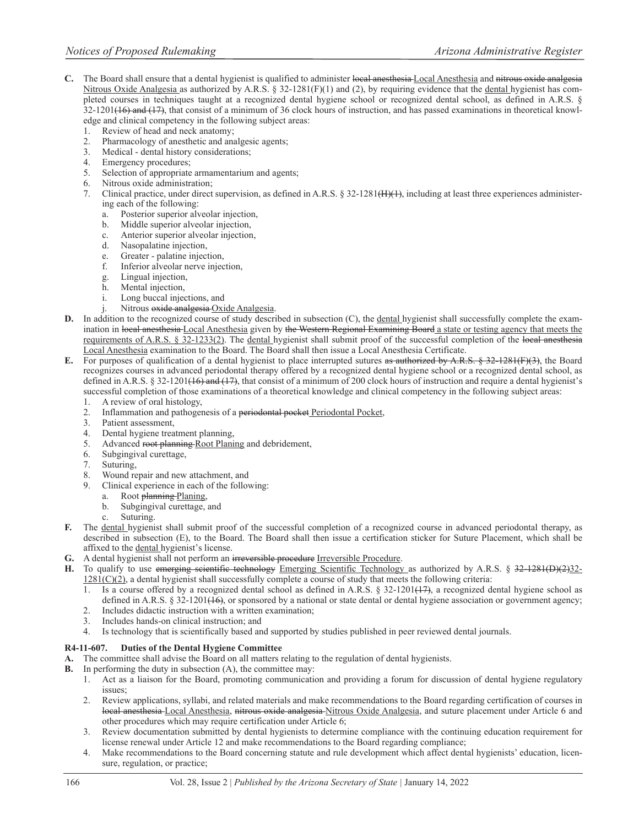- C. The Board shall ensure that a dental hygienist is qualified to administer local anesthesia Local Anesthesia and nitrous oxide analgesia Nitrous Oxide Analgesia as authorized by A.R.S. § 32-1281(F)(1) and (2), by requiring evidence that the dental hygienist has completed courses in techniques taught at a recognized dental hygiene school or recognized dental school, as defined in A.R.S. §  $32-1201(16)$  and  $(17)$ , that consist of a minimum of 36 clock hours of instruction, and has passed examinations in theoretical knowledge and clinical competency in the following subject areas:
	- 1. Review of head and neck anatomy;
	- 2. Pharmacology of anesthetic and analgesic agents;
	- 3. Medical dental history considerations;
	- 4. Emergency procedures;
	- 5. Selection of appropriate armamentarium and agents;
	- 6. Nitrous oxide administration;
	- 7. Clinical practice, under direct supervision, as defined in A.R.S. § 32-1281<del>(H)(1)</del>, including at least three experiences administering each of the following:
		- a. Posterior superior alveolar injection,
		- b. Middle superior alveolar injection,
		- c. Anterior superior alveolar injection,
		- d. Nasopalatine injection,
		- e. Greater palatine injection,
		- f. Inferior alveolar nerve injection,
		- g. Lingual injection,
		- Mental injection,
		- i. Long buccal injections, and
		- Nitrous oxide analgesia Oxide Analgesia.
- **D.** In addition to the recognized course of study described in subsection (C), the dental hygienist shall successfully complete the examination in local anesthesia Local Anesthesia given by the Western Regional Examining Board a state or testing agency that meets the requirements of A.R.S. § 32-1233(2). The dental hygienist shall submit proof of the successful completion of the local anesthesia Local Anesthesia examination to the Board. The Board shall then issue a Local Anesthesia Certificate.
- **E.** For purposes of qualification of a dental hygienist to place interrupted sutures as authorized by A.R.S. § 32-1281(F)(3), the Board recognizes courses in advanced periodontal therapy offered by a recognized dental hygiene school or a recognized dental school, as defined in A.R.S. § 32-1201( $\overline{16}$ ) and  $\overline{17}$ , that consist of a minimum of 200 clock hours of instruction and require a dental hygienist's successful completion of those examinations of a theoretical knowledge and clinical competency in the following subject areas:
	- 1. A review of oral histology,
	- 2. Inflammation and pathogenesis of a periodontal pocket Periodontal Pocket,
	- 3. Patient assessment,
	- 4. Dental hygiene treatment planning,
	- 5. Advanced root planning Root Planing and debridement,
	- 6. Subgingival curettage,
	-
	- 7. Suturing, Wound repair and new attachment, and
	- 9. Clinical experience in each of the following:
		- a. Root planning Planing,
		- b. Subgingival curettage, and
		- c. Suturing.
- **F.** The dental hygienist shall submit proof of the successful completion of a recognized course in advanced periodontal therapy, as described in subsection (E), to the Board. The Board shall then issue a certification sticker for Suture Placement, which shall be affixed to the dental hygienist's license.
- **G.** A dental hygienist shall not perform an irreversible procedure Irreversible Procedure.
- **H.** To qualify to use emerging scientific technology Emerging Scientific Technology as authorized by A.R.S. § 32-1281(D)(2)32- $1281(C)(2)$ , a dental hygienist shall successfully complete a course of study that meets the following criteria:
	- 1. Is a course offered by a recognized dental school as defined in A.R.S. § 32-1201(+7), a recognized dental hygiene school as defined in A.R.S. § 32-1201( $\left(16\right)$ , or sponsored by a national or state dental or dental hygiene association or government agency;
	- 2. Includes didactic instruction with a written examination;
	- 3. Includes hands-on clinical instruction; and
	- 4. Is technology that is scientifically based and supported by studies published in peer reviewed dental journals.

# **R4-11-607. Duties of the Dental Hygiene Committee**

- **A.** The committee shall advise the Board on all matters relating to the regulation of dental hygienists.
- **B.** In performing the duty in subsection (A), the committee may:
	- 1. Act as a liaison for the Board, promoting communication and providing a forum for discussion of dental hygiene regulatory issues;
	- 2. Review applications, syllabi, and related materials and make recommendations to the Board regarding certification of courses in local anesthesia Local Anesthesia, nitrous oxide analgesia Nitrous Oxide Analgesia, and suture placement under Article 6 and other procedures which may require certification under Article 6;
	- 3. Review documentation submitted by dental hygienists to determine compliance with the continuing education requirement for license renewal under Article 12 and make recommendations to the Board regarding compliance;
	- 4. Make recommendations to the Board concerning statute and rule development which affect dental hygienists' education, licensure, regulation, or practice;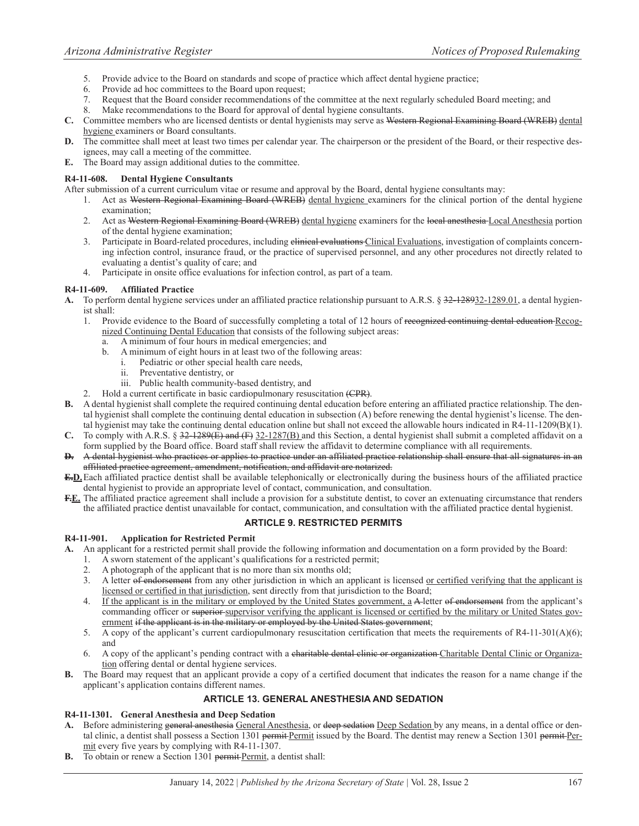- 5. Provide advice to the Board on standards and scope of practice which affect dental hygiene practice;
- 6. Provide ad hoc committees to the Board upon request;
- 7. Request that the Board consider recommendations of the committee at the next regularly scheduled Board meeting; and
- 8. Make recommendations to the Board for approval of dental hygiene consultants.
- **C.** Committee members who are licensed dentists or dental hygienists may serve as Western Regional Examining Board (WREB) dental hygiene examiners or Board consultants.
- **D.** The committee shall meet at least two times per calendar year. The chairperson or the president of the Board, or their respective designees, may call a meeting of the committee.
- **E.** The Board may assign additional duties to the committee.

#### **R4-11-608. Dental Hygiene Consultants**

After submission of a current curriculum vitae or resume and approval by the Board, dental hygiene consultants may:

- 1. Act as Western Regional Examining Board (WREB) dental hygiene examiners for the clinical portion of the dental hygiene examination;
- 2. Act as Western Regional Examining Board (WREB) dental hygiene examiners for the local anesthesia Local Anesthesia portion of the dental hygiene examination;
- 3. Participate in Board-related procedures, including elinical evaluations Clinical Evaluations, investigation of complaints concerning infection control, insurance fraud, or the practice of supervised personnel, and any other procedures not directly related to evaluating a dentist's quality of care; and
- 4. Participate in onsite office evaluations for infection control, as part of a team.

# **R4-11-609. Affiliated Practice**

- **A.** To perform dental hygiene services under an affiliated practice relationship pursuant to A.R.S. § 32-128932-1289.01, a dental hygienist shall:
	- 1. Provide evidence to the Board of successfully completing a total of 12 hours of recognized continuing dental education Recognized Continuing Dental Education that consists of the following subject areas:
		- a. A minimum of four hours in medical emergencies; and
		- b. A minimum of eight hours in at least two of the following areas:
			- i. Pediatric or other special health care needs,
				- ii. Preventative dentistry, or
			- iii. Public health community-based dentistry, and
	- 2. Hold a current certificate in basic cardiopulmonary resuscitation (CPR).
- **B.** A dental hygienist shall complete the required continuing dental education before entering an affiliated practice relationship. The dental hygienist shall complete the continuing dental education in subsection (A) before renewing the dental hygienist's license. The dental hygienist may take the continuing dental education online but shall not exceed the allowable hours indicated in R4-11-1209(B)(1).
- **C.** To comply with A.R.S. § 32-1289(E) and (F) 32-1287(B) and this Section, a dental hygienist shall submit a completed affidavit on a form supplied by the Board office. Board staff shall review the affidavit to determine compliance with all requirements.
- **D.** A dental hygienist who practices or applies to practice under an affiliated practice relationship shall ensure that all signatures in an affiliated practice agreement, amendment, notification, and affidavit are notarized.
- **E.D.** Each affiliated practice dentist shall be available telephonically or electronically during the business hours of the affiliated practice dental hygienist to provide an appropriate level of contact, communication, and consultation.
- F.E. The affiliated practice agreement shall include a provision for a substitute dentist, to cover an extenuating circumstance that renders the affiliated practice dentist unavailable for contact, communication, and consultation with the affiliated practice dental hygienist.

# **ARTICLE 9. RESTRICTED PERMITS**

#### **R4-11-901. Application for Restricted Permit**

- **A.** An applicant for a restricted permit shall provide the following information and documentation on a form provided by the Board:
	- 1. A sworn statement of the applicant's qualifications for a restricted permit;
	- 2. A photograph of the applicant that is no more than six months old;
	- 3. A letter of endorsement from any other jurisdiction in which an applicant is licensed or certified verifying that the applicant is licensed or certified in that jurisdiction, sent directly from that jurisdiction to the Board;
	- 4. If the applicant is in the military or employed by the United States government, a A-letter of endorsement from the applicant's commanding officer or superior supervisor verifying the applicant is licensed or certified by the military or United States government if the applicant is in the military or employed by the United States government;
	- 5. A copy of the applicant's current cardiopulmonary resuscitation certification that meets the requirements of R4-11-301(A)(6); and
	- 6. A copy of the applicant's pending contract with a charitable dental clinic or organization-Charitable Dental Clinic or Organization offering dental or dental hygiene services.
- **B.** The Board may request that an applicant provide a copy of a certified document that indicates the reason for a name change if the applicant's application contains different names.

# **ARTICLE 13. GENERAL ANESTHESIA AND SEDATION**

# **R4-11-1301. General Anesthesia and Deep Sedation**

- A. Before administering general anesthesia General Anesthesia, or deep sedation Deep Sedation by any means, in a dental office or dental clinic, a dentist shall possess a Section 1301 permit Permit issued by the Board. The dentist may renew a Section 1301 permit Permit every five years by complying with R4-11-1307.
- **B.** To obtain or renew a Section 1301 permit Permit, a dentist shall: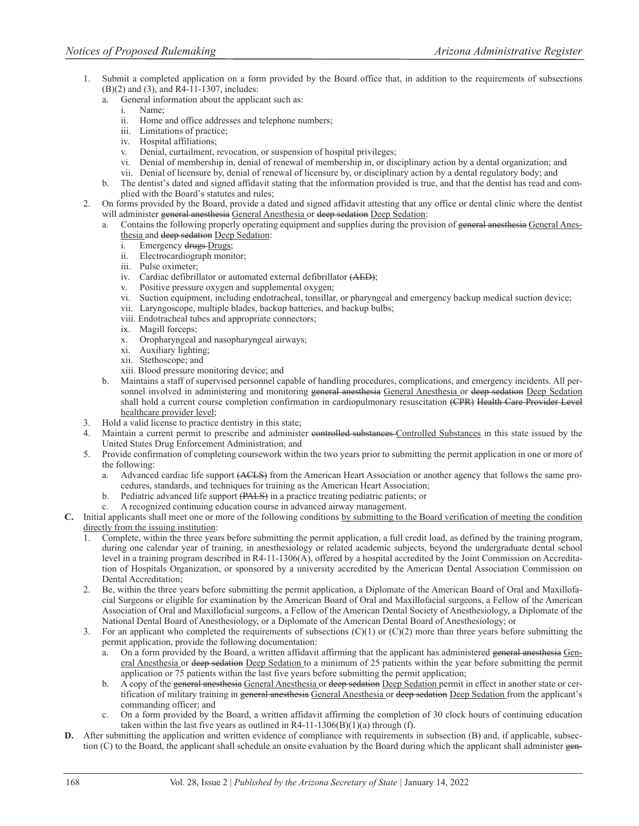- 1. Submit a completed application on a form provided by the Board office that, in addition to the requirements of subsections (B)(2) and (3), and R4-11-1307, includes:
	- a. General information about the applicant such as:
		- i. Name;
		- ii. Home and office addresses and telephone numbers;
		- iii. Limitations of practice;
		- iv. Hospital affiliations;
		- v. Denial, curtailment, revocation, or suspension of hospital privileges;
		- vi. Denial of membership in, denial of renewal of membership in, or disciplinary action by a dental organization; and
		- vii. Denial of licensure by, denial of renewal of licensure by, or disciplinary action by a dental regulatory body; and
	- b. The dentist's dated and signed affidavit stating that the information provided is true, and that the dentist has read and complied with the Board's statutes and rules;
- 2. On forms provided by the Board, provide a dated and signed affidavit attesting that any office or dental clinic where the dentist will administer general anesthesia General Anesthesia or deep sedation Deep Sedation:
	- Contains the following properly operating equipment and supplies during the provision of general anesthesia General Anesthesia and deep sedation Deep Sedation:
		- i. Emergency drugs Drugs;
		- ii. Electrocardiograph monitor;
		- iii. Pulse oximeter;
		- iv. Cardiac defibrillator or automated external defibrillator (AED);
		- v. Positive pressure oxygen and supplemental oxygen;
		- vi. Suction equipment, including endotracheal, tonsillar, or pharyngeal and emergency backup medical suction device;
		- vii. Laryngoscope, multiple blades, backup batteries, and backup bulbs;
		- viii. Endotracheal tubes and appropriate connectors;
		- ix. Magill forceps;
		- x. Oropharyngeal and nasopharyngeal airways;
		- xi. Auxiliary lighting;
		- xii. Stethoscope; and
		- xiii. Blood pressure monitoring device; and
	- b. Maintains a staff of supervised personnel capable of handling procedures, complications, and emergency incidents. All personnel involved in administering and monitoring general anesthesia General Anesthesia or deep sedation Deep Sedation shall hold a current course completion confirmation in cardiopulmonary resuscitation (CPR) Health Care Provider Level healthcare provider level;
- 3. Hold a valid license to practice dentistry in this state;
- 4. Maintain a current permit to prescribe and administer controlled substances Controlled Substances in this state issued by the United States Drug Enforcement Administration; and
- 5. Provide confirmation of completing coursework within the two years prior to submitting the permit application in one or more of the following:
	- a. Advanced cardiac life support (ACLS) from the American Heart Association or another agency that follows the same procedures, standards, and techniques for training as the American Heart Association;
	- b. Pediatric advanced life support (PALS) in a practice treating pediatric patients; or
	- A recognized continuing education course in advanced airway management.
- **C.** Initial applicants shall meet one or more of the following conditions by submitting to the Board verification of meeting the condition directly from the issuing institution:
	- 1. Complete, within the three years before submitting the permit application, a full credit load, as defined by the training program, during one calendar year of training, in anesthesiology or related academic subjects, beyond the undergraduate dental school level in a training program described in R4-11-1306(A), offered by a hospital accredited by the Joint Commission on Accreditation of Hospitals Organization, or sponsored by a university accredited by the American Dental Association Commission on Dental Accreditation;
	- 2. Be, within the three years before submitting the permit application, a Diplomate of the American Board of Oral and Maxillofacial Surgeons or eligible for examination by the American Board of Oral and Maxillofacial surgeons, a Fellow of the American Association of Oral and Maxillofacial surgeons, a Fellow of the American Dental Society of Anesthesiology, a Diplomate of the National Dental Board of Anesthesiology, or a Diplomate of the American Dental Board of Anesthesiology; or
	- 3. For an applicant who completed the requirements of subsections  $(C)(1)$  or  $(C)(2)$  more than three years before submitting the permit application, provide the following documentation:
		- a. On a form provided by the Board, a written affidavit affirming that the applicant has administered general anesthesia General Anesthesia or deep sedation Deep Sedation to a minimum of 25 patients within the year before submitting the permit application or 75 patients within the last five years before submitting the permit application;
		- b. A copy of the general anesthesia General Anesthesia or deep sedation Deep Sedation permit in effect in another state or certification of military training in general anesthesia General Anesthesia or deep sedation Deep Sedation from the applicant's commanding officer; and
		- c. On a form provided by the Board, a written affidavit affirming the completion of 30 clock hours of continuing education taken within the last five years as outlined in  $R4-11-1306(B)(1)(a)$  through (f).
- **D.** After submitting the application and written evidence of compliance with requirements in subsection (B) and, if applicable, subsection (C) to the Board, the applicant shall schedule an onsite evaluation by the Board during which the applicant shall administer gen-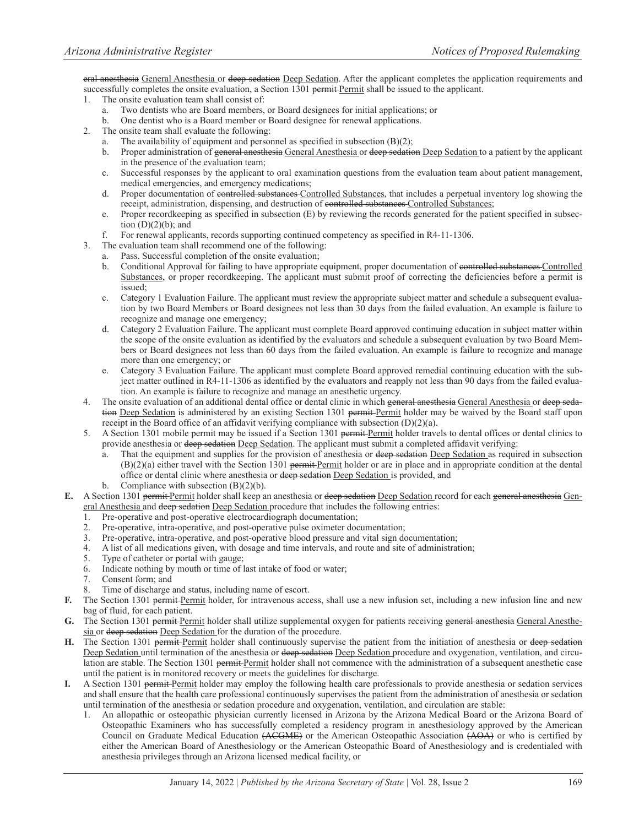eral anesthesia General Anesthesia or deep sedation Deep Sedation. After the applicant completes the application requirements and successfully completes the onsite evaluation, a Section 1301 permit Permit shall be issued to the applicant.

- 1. The onsite evaluation team shall consist of:
	- a. Two dentists who are Board members, or Board designees for initial applications; or
	- One dentist who is a Board member or Board designee for renewal applications.
- 2. The onsite team shall evaluate the following:
	- The availability of equipment and personnel as specified in subsection  $(B)(2)$ ;
	- b. Proper administration of general anesthesia General Anesthesia or deep sedation Deep Sedation to a patient by the applicant in the presence of the evaluation team;
	- c. Successful responses by the applicant to oral examination questions from the evaluation team about patient management, medical emergencies, and emergency medications;
	- d. Proper documentation of controlled substances Controlled Substances, that includes a perpetual inventory log showing the receipt, administration, dispensing, and destruction of controlled substances Controlled Substances;
	- e. Proper recordkeeping as specified in subsection (E) by reviewing the records generated for the patient specified in subsection  $(D)(2)(b)$ ; and
	- f. For renewal applicants, records supporting continued competency as specified in R4-11-1306.
- 3. The evaluation team shall recommend one of the following:
	- a. Pass. Successful completion of the onsite evaluation;
	- b. Conditional Approval for failing to have appropriate equipment, proper documentation of controlled substances Controlled Substances, or proper recordkeeping. The applicant must submit proof of correcting the deficiencies before a permit is issued;
	- c. Category 1 Evaluation Failure. The applicant must review the appropriate subject matter and schedule a subsequent evaluation by two Board Members or Board designees not less than 30 days from the failed evaluation. An example is failure to recognize and manage one emergency;
	- d. Category 2 Evaluation Failure. The applicant must complete Board approved continuing education in subject matter within the scope of the onsite evaluation as identified by the evaluators and schedule a subsequent evaluation by two Board Members or Board designees not less than 60 days from the failed evaluation. An example is failure to recognize and manage more than one emergency; or
	- e. Category 3 Evaluation Failure. The applicant must complete Board approved remedial continuing education with the subject matter outlined in R4-11-1306 as identified by the evaluators and reapply not less than 90 days from the failed evaluation. An example is failure to recognize and manage an anesthetic urgency.
- 4. The onsite evaluation of an additional dental office or dental clinic in which general anesthesia General Anesthesia or deep sedation Deep Sedation is administered by an existing Section 1301 permit Permit holder may be waived by the Board staff upon receipt in the Board office of an affidavit verifying compliance with subsection (D)(2)(a).
- 5. A Section 1301 mobile permit may be issued if a Section 1301 permit Permit holder travels to dental offices or dental clinics to provide anesthesia or deep sedation Deep Sedation. The applicant must submit a completed affidavit verifying:
	- a. That the equipment and supplies for the provision of anesthesia or deep sedation Deep Sedation as required in subsection  $(B)(2)(a)$  either travel with the Section 1301 permit Permit holder or are in place and in appropriate condition at the dental office or dental clinic where anesthesia or deep sedation Deep Sedation is provided, and
	- b. Compliance with subsection  $(B)(2)(b)$ .
- **E.** A Section 1301 permit Permit holder shall keep an anesthesia or deep sedation Deep Sedation record for each general anesthesia General Anesthesia and deep sedation Deep Sedation procedure that includes the following entries:
	- 1. Pre-operative and post-operative electrocardiograph documentation;
	- 2. Pre-operative, intra-operative, and post-operative pulse oximeter documentation;
	- 3. Pre-operative, intra-operative, and post-operative blood pressure and vital sign documentation;
	- 4. A list of all medications given, with dosage and time intervals, and route and site of administration;
	- 5. Type of catheter or portal with gauge;
	- 6. Indicate nothing by mouth or time of last intake of food or water;
	- 7. Consent form; and
	- 8. Time of discharge and status, including name of escort.
- The Section 1301 permit Permit holder, for intravenous access, shall use a new infusion set, including a new infusion line and new bag of fluid, for each patient.
- G. The Section 1301 permit Permit holder shall utilize supplemental oxygen for patients receiving general anesthesia General Anesthesia or deep sedation Deep Sedation for the duration of the procedure.
- H. The Section 1301 permit Permit holder shall continuously supervise the patient from the initiation of anesthesia or deep sedation Deep Sedation until termination of the anesthesia or deep sedation Deep Sedation procedure and oxygenation, ventilation, and circulation are stable. The Section 1301 permit Permit holder shall not commence with the administration of a subsequent anesthetic case until the patient is in monitored recovery or meets the guidelines for discharge.
- **I.** A Section 1301 permit Permit holder may employ the following health care professionals to provide anesthesia or sedation services and shall ensure that the health care professional continuously supervises the patient from the administration of anesthesia or sedation until termination of the anesthesia or sedation procedure and oxygenation, ventilation, and circulation are stable:
	- 1. An allopathic or osteopathic physician currently licensed in Arizona by the Arizona Medical Board or the Arizona Board of Osteopathic Examiners who has successfully completed a residency program in anesthesiology approved by the American Council on Graduate Medical Education (ACGME) or the American Osteopathic Association (AOA) or who is certified by either the American Board of Anesthesiology or the American Osteopathic Board of Anesthesiology and is credentialed with anesthesia privileges through an Arizona licensed medical facility, or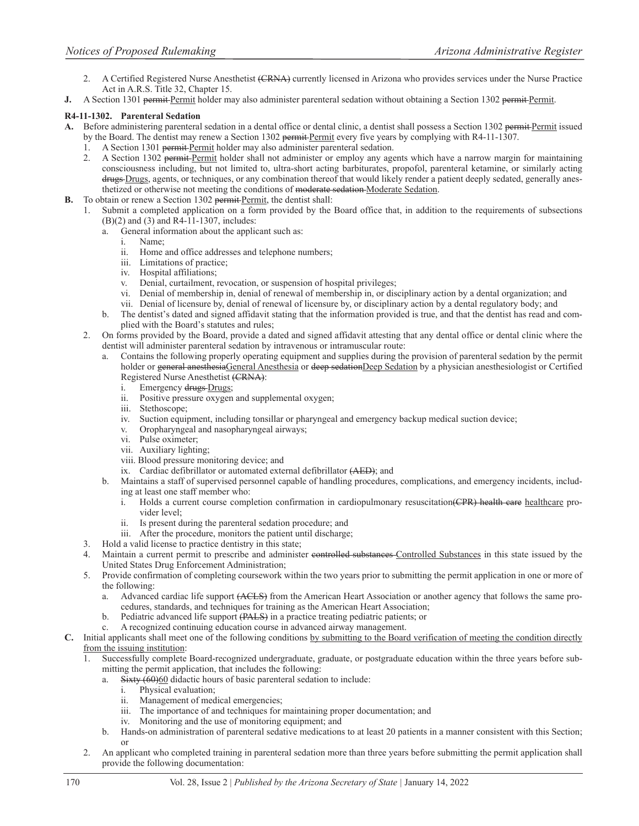- 2. A Certified Registered Nurse Anesthetist (CRNA) currently licensed in Arizona who provides services under the Nurse Practice Act in A.R.S. Title 32, Chapter 15.
- **J.** A Section 1301 permit Permit holder may also administer parenteral sedation without obtaining a Section 1302 permit Permit.

# **R4-11-1302. Parenteral Sedation**

- A. Before administering parenteral sedation in a dental office or dental clinic, a dentist shall possess a Section 1302 permit Permit issued
	- by the Board. The dentist may renew a Section 1302 permit-Permit every five years by complying with R4-11-1307.
	- 1. A Section 1301 permit Permit holder may also administer parenteral sedation.
	- 2. A Section 1302 permit Permit holder shall not administer or employ any agents which have a narrow margin for maintaining consciousness including, but not limited to, ultra-short acting barbiturates, propofol, parenteral ketamine, or similarly acting drugs Drugs, agents, or techniques, or any combination thereof that would likely render a patient deeply sedated, generally anesthetized or otherwise not meeting the conditions of moderate sedation-Moderate Sedation.
- **B.** To obtain or renew a Section 1302 permit Permit, the dentist shall:
	- 1. Submit a completed application on a form provided by the Board office that, in addition to the requirements of subsections (B)(2) and (3) and R4-11-1307, includes:
		- a. General information about the applicant such as:
			- i. Name;
			- ii. Home and office addresses and telephone numbers;
			- iii. Limitations of practice;
			- iv. Hospital affiliations;
			- v. Denial, curtailment, revocation, or suspension of hospital privileges;
			- vi. Denial of membership in, denial of renewal of membership in, or disciplinary action by a dental organization; and
			- vii. Denial of licensure by, denial of renewal of licensure by, or disciplinary action by a dental regulatory body; and
		- b. The dentist's dated and signed affidavit stating that the information provided is true, and that the dentist has read and complied with the Board's statutes and rules;
	- 2. On forms provided by the Board, provide a dated and signed affidavit attesting that any dental office or dental clinic where the dentist will administer parenteral sedation by intravenous or intramuscular route:
		- a. Contains the following properly operating equipment and supplies during the provision of parenteral sedation by the permit holder or general anesthesiaGeneral Anesthesia or deep sedationDeep Sedation by a physician anesthesiologist or Certified Registered Nurse Anesthetist (CRNA):
			- i. Emergency drugs-Drugs;
			- ii. Positive pressure oxygen and supplemental oxygen;
			- iii. Stethoscope;<br>iv. Suction equip
			- Suction equipment, including tonsillar or pharyngeal and emergency backup medical suction device;
			- v. Oropharyngeal and nasopharyngeal airways;
			- vi. Pulse oximeter;
			- vii. Auxiliary lighting;
			- viii. Blood pressure monitoring device; and
			- ix. Cardiac defibrillator or automated external defibrillator (AED); and
		- b. Maintains a staff of supervised personnel capable of handling procedures, complications, and emergency incidents, including at least one staff member who:
			- i. Holds a current course completion confirmation in cardiopulmonary resuscitation(CPR) health eare healthcare provider level;
			- ii. Is present during the parenteral sedation procedure; and
			- iii. After the procedure, monitors the patient until discharge;
	- 3. Hold a valid license to practice dentistry in this state;
	- 4. Maintain a current permit to prescribe and administer controlled substances Controlled Substances in this state issued by the United States Drug Enforcement Administration;
	- 5. Provide confirmation of completing coursework within the two years prior to submitting the permit application in one or more of the following:
		- a. Advanced cardiac life support (ACLS) from the American Heart Association or another agency that follows the same procedures, standards, and techniques for training as the American Heart Association;
		- b. Pediatric advanced life support (PALS) in a practice treating pediatric patients; or
		- c. A recognized continuing education course in advanced airway management.
- **C.** Initial applicants shall meet one of the following conditions by submitting to the Board verification of meeting the condition directly from the issuing institution:
	- 1. Successfully complete Board-recognized undergraduate, graduate, or postgraduate education within the three years before submitting the permit application, that includes the following:
		- a. Sixty  $(60)$  diductic hours of basic parenteral sedation to include:
			- i. Physical evaluation;
			- ii. Management of medical emergencies;
			- iii. The importance of and techniques for maintaining proper documentation; and
			- iv. Monitoring and the use of monitoring equipment; and
		- b. Hands-on administration of parenteral sedative medications to at least 20 patients in a manner consistent with this Section; or
	- 2. An applicant who completed training in parenteral sedation more than three years before submitting the permit application shall provide the following documentation: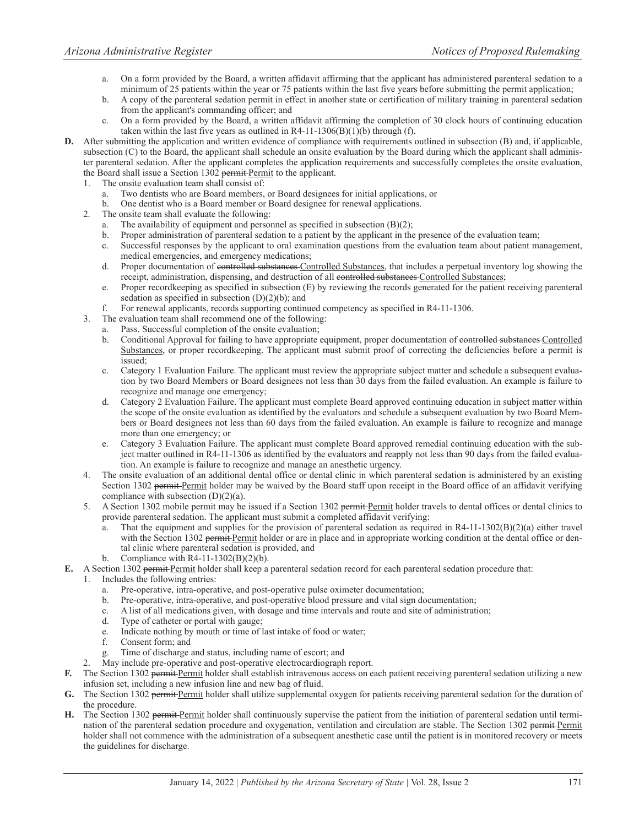- a. On a form provided by the Board, a written affidavit affirming that the applicant has administered parenteral sedation to a minimum of 25 patients within the year or 75 patients within the last five years before submitting the permit application;
- b. A copy of the parenteral sedation permit in effect in another state or certification of military training in parenteral sedation from the applicant's commanding officer; and
- c. On a form provided by the Board, a written affidavit affirming the completion of 30 clock hours of continuing education taken within the last five years as outlined in  $R4-11-1306(B)(1)(b)$  through (f).
- **D.** After submitting the application and written evidence of compliance with requirements outlined in subsection (B) and, if applicable, subsection (C) to the Board, the applicant shall schedule an onsite evaluation by the Board during which the applicant shall administer parenteral sedation. After the applicant completes the application requirements and successfully completes the onsite evaluation, the Board shall issue a Section 1302 permit Permit to the applicant.
	- 1. The onsite evaluation team shall consist of:
		- a. Two dentists who are Board members, or Board designees for initial applications, or
		- b. One dentist who is a Board member or Board designee for renewal applications.
	- 2. The onsite team shall evaluate the following:
		- a. The availability of equipment and personnel as specified in subsection (B)(2);
		- b. Proper administration of parenteral sedation to a patient by the applicant in the presence of the evaluation team;
		- c. Successful responses by the applicant to oral examination questions from the evaluation team about patient management, medical emergencies, and emergency medications;
		- d. Proper documentation of controlled substances Controlled Substances, that includes a perpetual inventory log showing the receipt, administration, dispensing, and destruction of all controlled substances Controlled Substances;
		- e. Proper recordkeeping as specified in subsection (E) by reviewing the records generated for the patient receiving parenteral sedation as specified in subsection (D)(2)(b); and
		- For renewal applicants, records supporting continued competency as specified in R4-11-1306.
	- 3. The evaluation team shall recommend one of the following:
		- Pass. Successful completion of the onsite evaluation;
		- b. Conditional Approval for failing to have appropriate equipment, proper documentation of controlled substances Controlled Substances, or proper recordkeeping. The applicant must submit proof of correcting the deficiencies before a permit is issued;
		- c. Category 1 Evaluation Failure. The applicant must review the appropriate subject matter and schedule a subsequent evaluation by two Board Members or Board designees not less than 30 days from the failed evaluation. An example is failure to recognize and manage one emergency;
		- d. Category 2 Evaluation Failure. The applicant must complete Board approved continuing education in subject matter within the scope of the onsite evaluation as identified by the evaluators and schedule a subsequent evaluation by two Board Members or Board designees not less than 60 days from the failed evaluation. An example is failure to recognize and manage more than one emergency; or
		- e. Category 3 Evaluation Failure. The applicant must complete Board approved remedial continuing education with the subject matter outlined in R4-11-1306 as identified by the evaluators and reapply not less than 90 days from the failed evaluation. An example is failure to recognize and manage an anesthetic urgency.
	- 4. The onsite evaluation of an additional dental office or dental clinic in which parenteral sedation is administered by an existing Section 1302 permit Permit holder may be waived by the Board staff upon receipt in the Board office of an affidavit verifying compliance with subsection  $(D)(2)(a)$ .
	- 5. A Section 1302 mobile permit may be issued if a Section 1302 permit-Permit holder travels to dental offices or dental clinics to provide parenteral sedation. The applicant must submit a completed affidavit verifying:
		- That the equipment and supplies for the provision of parenteral sedation as required in  $R4-11-1302(B)(2)(a)$  either travel with the Section 1302 permit Permit holder or are in place and in appropriate working condition at the dental office or dental clinic where parenteral sedation is provided, and
		- b. Compliance with  $R4-11-1302(B)(2)(b)$ .
- **E.** A Section 1302 permit Permit holder shall keep a parenteral sedation record for each parenteral sedation procedure that:
	- 1. Includes the following entries:
		- a. Pre-operative, intra-operative, and post-operative pulse oximeter documentation;
		- b. Pre-operative, intra-operative, and post-operative blood pressure and vital sign documentation;
		- c. A list of all medications given, with dosage and time intervals and route and site of administration;
		- d. Type of catheter or portal with gauge;
		- e. Indicate nothing by mouth or time of last intake of food or water;
		- f. Consent form; and
		- Time of discharge and status, including name of escort; and
	- 2. May include pre-operative and post-operative electrocardiograph report.
- **F.** The Section 1302 permit Permit holder shall establish intravenous access on each patient receiving parenteral sedation utilizing a new infusion set, including a new infusion line and new bag of fluid.
- G. The Section 1302 permit Permit holder shall utilize supplemental oxygen for patients receiving parenteral sedation for the duration of the procedure.
- **H.** The Section 1302 permit Permit holder shall continuously supervise the patient from the initiation of parenteral sedation until termination of the parenteral sedation procedure and oxygenation, ventilation and circulation are stable. The Section 1302 permit Permit holder shall not commence with the administration of a subsequent anesthetic case until the patient is in monitored recovery or meets the guidelines for discharge.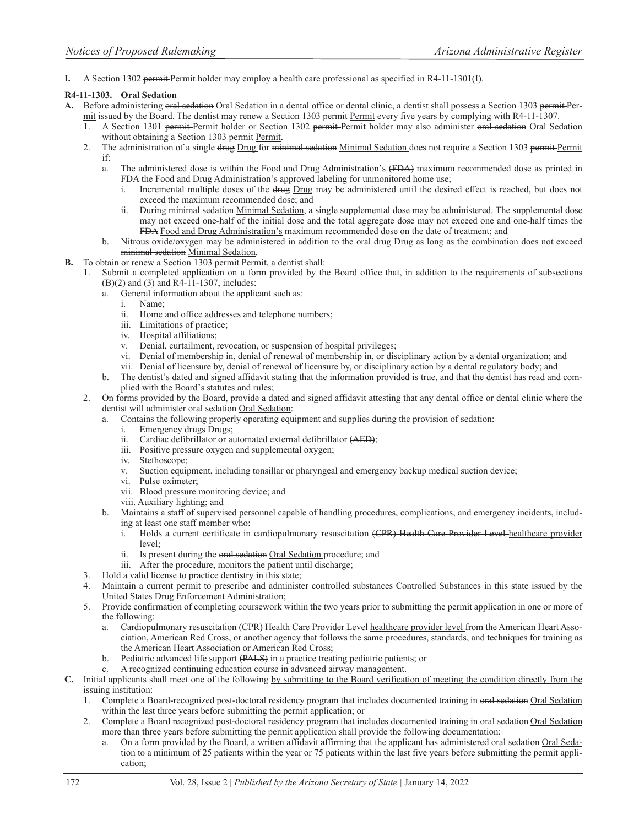**I.** A Section 1302 permit Permit holder may employ a health care professional as specified in R4-11-1301(I).

#### **R4-11-1303. Oral Sedation**

- A. Before administering oral sedation Oral Sedation in a dental office or dental clinic, a dentist shall possess a Section 1303 permit Permit issued by the Board. The dentist may renew a Section 1303 permit Permit every five years by complying with R4-11-1307.
	- A Section 1301 permit Permit holder or Section 1302 permit Permit holder may also administer oral sedation Oral Sedation without obtaining a Section 1303 permit Permit.
	- 2. The administration of a single drug Drug for minimal sedation Minimal Sedation does not require a Section 1303 permit Permit if:
		- a. The administered dose is within the Food and Drug Administration's (FDA) maximum recommended dose as printed in FDA the Food and Drug Administration's approved labeling for unmonitored home use;
			- i. Incremental multiple doses of the drug Drug may be administered until the desired effect is reached, but does not exceed the maximum recommended dose; and
			- ii. During minimal sedation Minimal Sedation, a single supplemental dose may be administered. The supplemental dose may not exceed one-half of the initial dose and the total aggregate dose may not exceed one and one-half times the FDA Food and Drug Administration's maximum recommended dose on the date of treatment; and
		- b. Nitrous oxide/oxygen may be administered in addition to the oral drug Drug as long as the combination does not exceed minimal sedation Minimal Sedation.
- **B.** To obtain or renew a Section 1303 permit Permit, a dentist shall:
	- Submit a completed application on a form provided by the Board office that, in addition to the requirements of subsections (B)(2) and (3) and R4-11-1307, includes:
		- a. General information about the applicant such as:
			- i. Name;
			- ii. Home and office addresses and telephone numbers;
			- iii. Limitations of practice;
			- iv. Hospital affiliations;
			- v. Denial, curtailment, revocation, or suspension of hospital privileges;
			- vi. Denial of membership in, denial of renewal of membership in, or disciplinary action by a dental organization; and
			- vii. Denial of licensure by, denial of renewal of licensure by, or disciplinary action by a dental regulatory body; and
		- b. The dentist's dated and signed affidavit stating that the information provided is true, and that the dentist has read and complied with the Board's statutes and rules;
	- 2. On forms provided by the Board, provide a dated and signed affidavit attesting that any dental office or dental clinic where the dentist will administer oral sedation Oral Sedation:
		- a. Contains the following properly operating equipment and supplies during the provision of sedation:
			- i. Emergency drugs Drugs;
			- ii. Cardiac defibrillator or automated external defibrillator (AED);
			- iii. Positive pressure oxygen and supplemental oxygen;
			- iv. Stethoscope;
			- v. Suction equipment, including tonsillar or pharyngeal and emergency backup medical suction device;
			- vi. Pulse oximeter;
			- vii. Blood pressure monitoring device; and
			- viii. Auxiliary lighting; and
		- b. Maintains a staff of supervised personnel capable of handling procedures, complications, and emergency incidents, including at least one staff member who:
			- i. Holds a current certificate in cardiopulmonary resuscitation (CPR) Health Care Provider Level healthcare provider level;
			- ii. Is present during the oral sedation Oral Sedation procedure; and
			- iii. After the procedure, monitors the patient until discharge;
	- 3. Hold a valid license to practice dentistry in this state;
	- 4. Maintain a current permit to prescribe and administer controlled substances Controlled Substances in this state issued by the United States Drug Enforcement Administration;
	- 5. Provide confirmation of completing coursework within the two years prior to submitting the permit application in one or more of the following:
		- a. Cardiopulmonary resuscitation (CPR) Health Care Provider Level healthcare provider level from the American Heart Association, American Red Cross, or another agency that follows the same procedures, standards, and techniques for training as the American Heart Association or American Red Cross;
		- b. Pediatric advanced life support (PALS) in a practice treating pediatric patients; or
		- c. A recognized continuing education course in advanced airway management.
- **C.** Initial applicants shall meet one of the following by submitting to the Board verification of meeting the condition directly from the issuing institution:
	- 1. Complete a Board-recognized post-doctoral residency program that includes documented training in oral sedation Oral Sedation within the last three years before submitting the permit application; or
	- Complete a Board recognized post-doctoral residency program that includes documented training in oral sedation Oral Sedation more than three years before submitting the permit application shall provide the following documentation:
		- On a form provided by the Board, a written affidavit affirming that the applicant has administered oral sedation Oral Sedation to a minimum of 25 patients within the year or 75 patients within the last five years before submitting the permit application;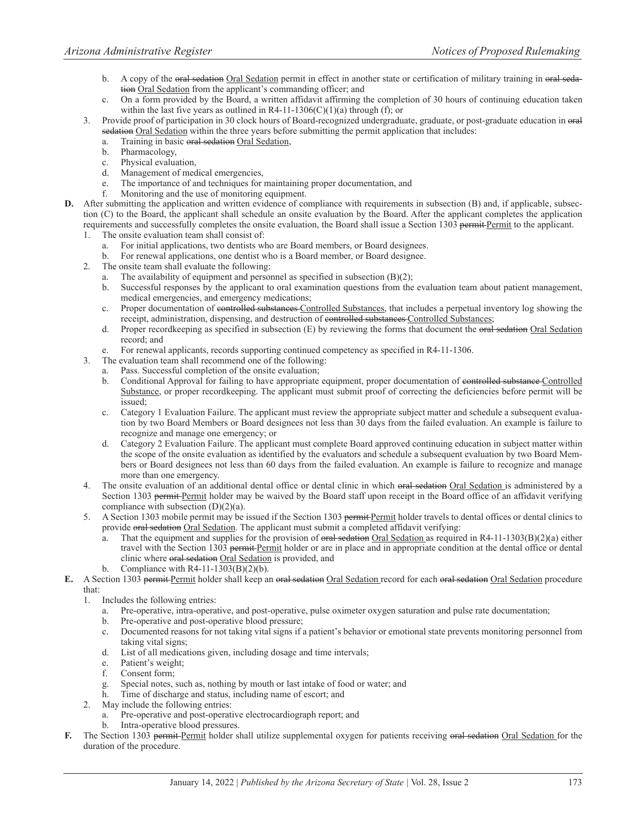- b. A copy of the oral sedation Oral Sedation permit in effect in another state or certification of military training in oral sedation Oral Sedation from the applicant's commanding officer; and
- c. On a form provided by the Board, a written affidavit affirming the completion of 30 hours of continuing education taken within the last five years as outlined in R4-11-1306(C)(1)(a) through (f); or
- 3. Provide proof of participation in 30 clock hours of Board-recognized undergraduate, graduate, or post-graduate education in oral sedation Oral Sedation within the three years before submitting the permit application that includes:
	- Training in basic oral sedation Oral Sedation,
	- b. Pharmacology,
	- c. Physical evaluation,
	- d. Management of medical emergencies,
	- e. The importance of and techniques for maintaining proper documentation, and
	- f. Monitoring and the use of monitoring equipment.
- **D.** After submitting the application and written evidence of compliance with requirements in subsection (B) and, if applicable, subsection (C) to the Board, the applicant shall schedule an onsite evaluation by the Board. After the applicant completes the application requirements and successfully completes the onsite evaluation, the Board shall issue a Section 1303 permit Permit to the applicant.
	- 1. The onsite evaluation team shall consist of:
		- a. For initial applications, two dentists who are Board members, or Board designees.
		- b. For renewal applications, one dentist who is a Board member, or Board designee.
	- 2. The onsite team shall evaluate the following:
		- a. The availability of equipment and personnel as specified in subsection (B)(2);
		- b. Successful responses by the applicant to oral examination questions from the evaluation team about patient management, medical emergencies, and emergency medications;
		- c. Proper documentation of controlled substances Controlled Substances, that includes a perpetual inventory log showing the receipt, administration, dispensing, and destruction of controlled substances Controlled Substances;
		- d. Proper recordkeeping as specified in subsection  $(E)$  by reviewing the forms that document the oral sedation Oral Sedation record; and
		- e. For renewal applicants, records supporting continued competency as specified in R4-11-1306.
	- 3. The evaluation team shall recommend one of the following:
		- Pass. Successful completion of the onsite evaluation;
			- b. Conditional Approval for failing to have appropriate equipment, proper documentation of controlled substance Controlled Substance, or proper recordkeeping. The applicant must submit proof of correcting the deficiencies before permit will be issued;
			- c. Category 1 Evaluation Failure. The applicant must review the appropriate subject matter and schedule a subsequent evaluation by two Board Members or Board designees not less than 30 days from the failed evaluation. An example is failure to recognize and manage one emergency; or
			- d. Category 2 Evaluation Failure. The applicant must complete Board approved continuing education in subject matter within the scope of the onsite evaluation as identified by the evaluators and schedule a subsequent evaluation by two Board Members or Board designees not less than 60 days from the failed evaluation. An example is failure to recognize and manage more than one emergency.
	- 4. The onsite evaluation of an additional dental office or dental clinic in which oral sedation Oral Sedation is administered by a Section 1303 permit Permit holder may be waived by the Board staff upon receipt in the Board office of an affidavit verifying compliance with subsection  $(D)(2)(a)$ .
	- 5. A Section 1303 mobile permit may be issued if the Section 1303 permit Permit holder travels to dental offices or dental clinics to provide oral sedation Oral Sedation. The applicant must submit a completed affidavit verifying:
		- a. That the equipment and supplies for the provision of oral sedation Oral Sedation as required in R4-11-1303(B)(2)(a) either travel with the Section 1303 permit Permit holder or are in place and in appropriate condition at the dental office or dental clinic where oral sedation Oral Sedation is provided, and
		- b. Compliance with  $R4-11-1303(B)(2)(b)$ .
- **E.** A Section 1303 permit Permit holder shall keep an oral sedation Oral Sedation record for each oral sedation Oral Sedation procedure that:
	- 1. Includes the following entries:
		- a. Pre-operative, intra-operative, and post-operative, pulse oximeter oxygen saturation and pulse rate documentation;
		- b. Pre-operative and post-operative blood pressure;
		- c. Documented reasons for not taking vital signs if a patient's behavior or emotional state prevents monitoring personnel from taking vital signs;
		- d. List of all medications given, including dosage and time intervals;
		- e. Patient's weight;
		- f. Consent form;
		- Special notes, such as, nothing by mouth or last intake of food or water; and
		- h. Time of discharge and status, including name of escort; and
	- 2. May include the following entries:
		- a. Pre-operative and post-operative electrocardiograph report; and
		- Intra-operative blood pressures.
- F. The Section 1303 permit Permit holder shall utilize supplemental oxygen for patients receiving oral sedation Oral Sedation for the duration of the procedure.